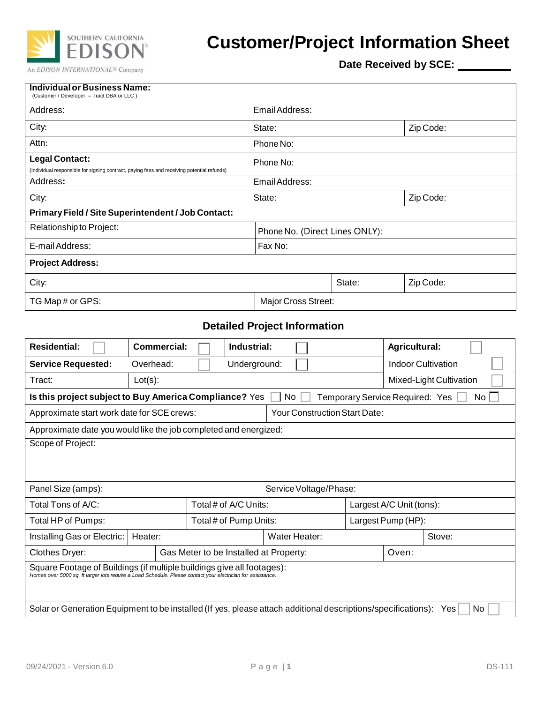

## **Customer/Project Information Sheet**

**Date Received by SCE:**

| <b>Individual or Business Name:</b><br>(Customer / Developer - Tract DBA or LLC)                                    |                                |        |           |  |  |
|---------------------------------------------------------------------------------------------------------------------|--------------------------------|--------|-----------|--|--|
| Address:                                                                                                            | Email Address:                 |        |           |  |  |
| City:                                                                                                               | State:                         |        | Zip Code: |  |  |
| Attn:                                                                                                               | Phone No:                      |        |           |  |  |
| <b>Legal Contact:</b><br>(Individual responsible for signing contract, paying fees and receiving potential refunds) | Phone No:                      |        |           |  |  |
| Address:                                                                                                            | Email Address:                 |        |           |  |  |
| City:                                                                                                               | State:                         |        | Zip Code: |  |  |
| Primary Field / Site Superintendent / Job Contact:                                                                  |                                |        |           |  |  |
| Relationship to Project:                                                                                            | Phone No. (Direct Lines ONLY): |        |           |  |  |
| E-mail Address:                                                                                                     | Fax No:                        |        |           |  |  |
| <b>Project Address:</b>                                                                                             |                                |        |           |  |  |
| City:                                                                                                               |                                | State: | Zip Code: |  |  |
| TG Map # or GPS:                                                                                                    | Major Cross Street:            |        |           |  |  |

## **Detailed Project Information**

| <b>Residential:</b>                                                                                                                                                                   | Commercial:                                                                                                           | Industrial:                            |  | Agricultural:            |                           |  |
|---------------------------------------------------------------------------------------------------------------------------------------------------------------------------------------|-----------------------------------------------------------------------------------------------------------------------|----------------------------------------|--|--------------------------|---------------------------|--|
| <b>Service Requested:</b>                                                                                                                                                             | Overhead:                                                                                                             | Underground:                           |  |                          | <b>Indoor Cultivation</b> |  |
| Tract:                                                                                                                                                                                | $Lot(s)$ :                                                                                                            |                                        |  |                          | Mixed-Light Cultivation   |  |
|                                                                                                                                                                                       | Is this project subject to Buy America Compliance? Yes<br>Temporary Service Required: Yes [<br>No.<br>No <sub>L</sub> |                                        |  |                          |                           |  |
| <b>Your Construction Start Date:</b><br>Approximate start work date for SCE crews:                                                                                                    |                                                                                                                       |                                        |  |                          |                           |  |
| Approximate date you would like the job completed and energized:                                                                                                                      |                                                                                                                       |                                        |  |                          |                           |  |
| Scope of Project:                                                                                                                                                                     |                                                                                                                       |                                        |  |                          |                           |  |
|                                                                                                                                                                                       |                                                                                                                       |                                        |  |                          |                           |  |
| Panel Size (amps):                                                                                                                                                                    |                                                                                                                       | Service Voltage/Phase:                 |  |                          |                           |  |
| Total Tons of A/C:                                                                                                                                                                    |                                                                                                                       | Total # of A/C Units:                  |  | Largest A/C Unit (tons): |                           |  |
| Total HP of Pumps:                                                                                                                                                                    |                                                                                                                       | Total # of Pump Units:                 |  | Largest Pump (HP):       |                           |  |
| Installing Gas or Electric:                                                                                                                                                           | Heater:                                                                                                               | Water Heater:                          |  |                          | Stove:                    |  |
| Clothes Dryer:                                                                                                                                                                        |                                                                                                                       | Gas Meter to be Installed at Property: |  | Oven:                    |                           |  |
| Square Footage of Buildings (if multiple buildings give all footages):<br>Homes over 5000 sq. ft larger lots require a Load Schedule. Please contact your electrician for assistance. |                                                                                                                       |                                        |  |                          |                           |  |
| Solar or Generation Equipment to be installed (If yes, please attach additional descriptions/specifications): Yes<br>No                                                               |                                                                                                                       |                                        |  |                          |                           |  |